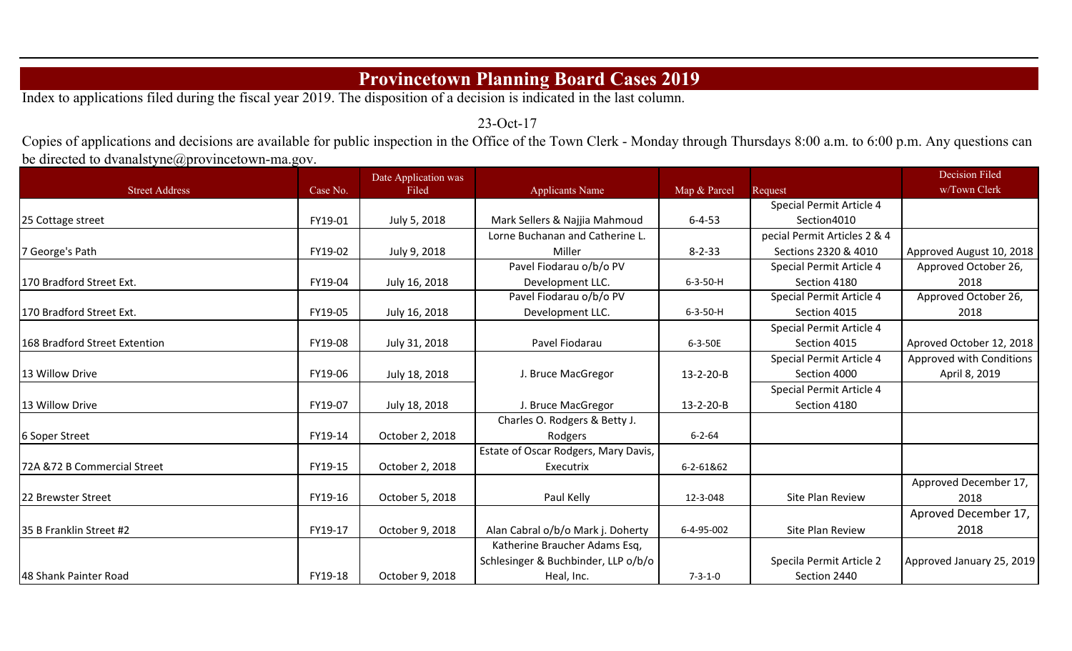## **Provincetown Planning Board Cases 2019**

Index to applications filed during the fiscal year 2019. The disposition of a decision is indicated in the last column.

23-Oct-17

Copies of applications and decisions are available for public inspection in the Office of the Town Clerk - Monday through Thursdays 8:00 a.m. to 6:00 p.m. Any questions can be directed to dvanalstyne@provincetown-ma.gov.

|                               |          | Date Application was |                                      |                  |                              | Decision Filed            |
|-------------------------------|----------|----------------------|--------------------------------------|------------------|------------------------------|---------------------------|
| <b>Street Address</b>         | Case No. | Filed                | <b>Applicants Name</b>               | Map & Parcel     | Request                      | w/Town Clerk              |
|                               |          |                      |                                      |                  | Special Permit Article 4     |                           |
| 25 Cottage street             | FY19-01  | July 5, 2018         | Mark Sellers & Najjia Mahmoud        | $6 - 4 - 53$     | Section4010                  |                           |
|                               |          |                      | Lorne Buchanan and Catherine L.      |                  | pecial Permit Articles 2 & 4 |                           |
| 7 George's Path               | FY19-02  | July 9, 2018         | Miller                               | $8 - 2 - 33$     | Sections 2320 & 4010         | Approved August 10, 2018  |
|                               |          |                      | Pavel Fiodarau o/b/o PV              |                  | Special Permit Article 4     | Approved October 26,      |
| 170 Bradford Street Ext.      | FY19-04  | July 16, 2018        | Development LLC.                     | $6 - 3 - 50 - H$ | Section 4180                 | 2018                      |
|                               |          |                      | Pavel Fiodarau o/b/o PV              |                  | Special Permit Article 4     | Approved October 26,      |
| 170 Bradford Street Ext.      | FY19-05  | July 16, 2018        | Development LLC.                     | $6 - 3 - 50 - H$ | Section 4015                 | 2018                      |
|                               |          |                      |                                      |                  | Special Permit Article 4     |                           |
| 168 Bradford Street Extention | FY19-08  | July 31, 2018        | Pavel Fiodarau                       | 6-3-50E          | Section 4015                 | Aproved October 12, 2018  |
|                               |          |                      |                                      |                  | Special Permit Article 4     | Approved with Conditions  |
| 13 Willow Drive               | FY19-06  | July 18, 2018        | J. Bruce MacGregor                   | 13-2-20-B        | Section 4000                 | April 8, 2019             |
|                               |          |                      |                                      |                  | Special Permit Article 4     |                           |
| 13 Willow Drive               | FY19-07  | July 18, 2018        | J. Bruce MacGregor                   | 13-2-20-B        | Section 4180                 |                           |
|                               |          |                      | Charles O. Rodgers & Betty J.        |                  |                              |                           |
| 6 Soper Street                | FY19-14  | October 2, 2018      | Rodgers                              | $6 - 2 - 64$     |                              |                           |
|                               |          |                      | Estate of Oscar Rodgers, Mary Davis, |                  |                              |                           |
| 72A & 72 B Commercial Street  | FY19-15  | October 2, 2018      | Executrix                            | 6-2-61&62        |                              |                           |
|                               |          |                      |                                      |                  |                              | Approved December 17,     |
| <b>22 Brewster Street</b>     | FY19-16  | October 5, 2018      | Paul Kelly                           | 12-3-048         | Site Plan Review             | 2018                      |
|                               |          |                      |                                      |                  |                              | Aproved December 17,      |
| 135 B Franklin Street #2      | FY19-17  | October 9, 2018      | Alan Cabral o/b/o Mark j. Doherty    | 6-4-95-002       | Site Plan Review             | 2018                      |
|                               |          |                      | Katherine Braucher Adams Esq,        |                  |                              |                           |
|                               |          |                      | Schlesinger & Buchbinder, LLP o/b/o  |                  | Specila Permit Article 2     | Approved January 25, 2019 |
| 48 Shank Painter Road         | FY19-18  | October 9, 2018      | Heal, Inc.                           | $7 - 3 - 1 - 0$  | Section 2440                 |                           |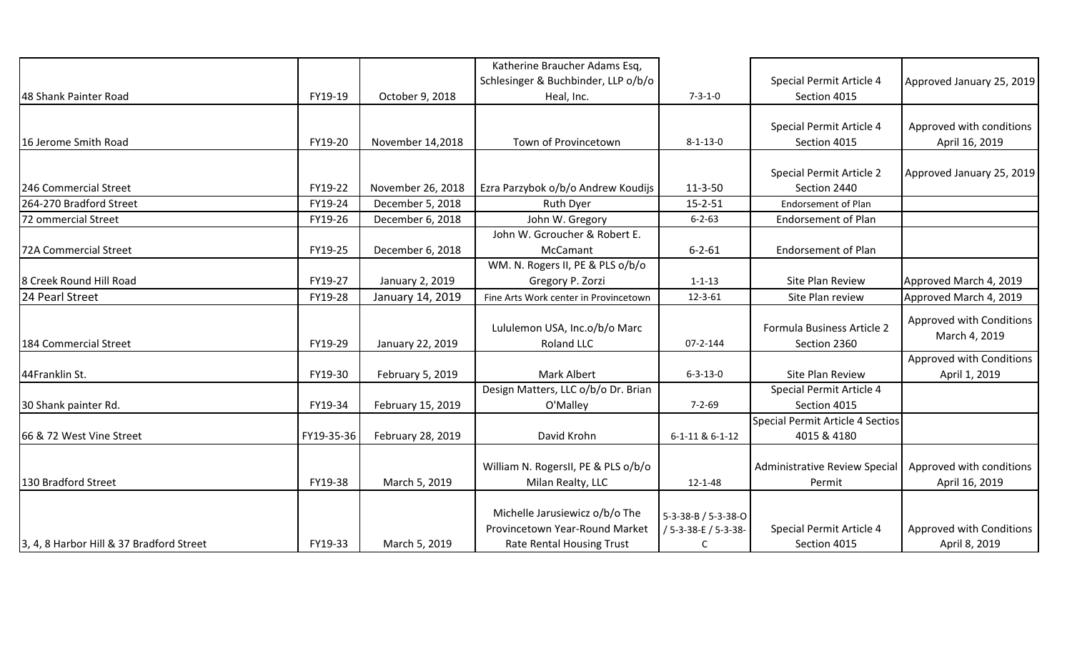|                                          |            |                   | Katherine Braucher Adams Esq,         |                      |                                         |                           |
|------------------------------------------|------------|-------------------|---------------------------------------|----------------------|-----------------------------------------|---------------------------|
|                                          |            |                   | Schlesinger & Buchbinder, LLP o/b/o   |                      | Special Permit Article 4                | Approved January 25, 2019 |
| 48 Shank Painter Road                    | FY19-19    | October 9, 2018   | Heal, Inc.                            | $7 - 3 - 1 - 0$      | Section 4015                            |                           |
|                                          |            |                   |                                       |                      |                                         |                           |
|                                          |            |                   |                                       |                      | Special Permit Article 4                | Approved with conditions  |
| 16 Jerome Smith Road                     | FY19-20    | November 14,2018  | Town of Provincetown                  | $8 - 1 - 13 - 0$     | Section 4015                            | April 16, 2019            |
|                                          |            |                   |                                       |                      |                                         |                           |
|                                          |            |                   |                                       |                      | Special Permit Article 2                | Approved January 25, 2019 |
| 246 Commercial Street                    | FY19-22    | November 26, 2018 | Ezra Parzybok o/b/o Andrew Koudijs    | $11 - 3 - 50$        | Section 2440                            |                           |
| 264-270 Bradford Street                  | FY19-24    | December 5, 2018  | <b>Ruth Dyer</b>                      | $15 - 2 - 51$        | <b>Endorsement of Plan</b>              |                           |
| 72 ommercial Street                      | FY19-26    | December 6, 2018  | John W. Gregory                       | $6 - 2 - 63$         | <b>Endorsement of Plan</b>              |                           |
|                                          |            |                   | John W. Gcroucher & Robert E.         |                      |                                         |                           |
| 72A Commercial Street                    | FY19-25    | December 6, 2018  | McCamant                              | $6 - 2 - 61$         | <b>Endorsement of Plan</b>              |                           |
|                                          |            |                   | WM. N. Rogers II, PE & PLS o/b/o      |                      |                                         |                           |
| 8 Creek Round Hill Road                  | FY19-27    | January 2, 2019   | Gregory P. Zorzi                      | $1 - 1 - 13$         | Site Plan Review                        | Approved March 4, 2019    |
| 24 Pearl Street                          | FY19-28    | January 14, 2019  | Fine Arts Work center in Provincetown | $12 - 3 - 61$        | Site Plan review                        | Approved March 4, 2019    |
|                                          |            |                   |                                       |                      |                                         | Approved with Conditions  |
|                                          |            |                   | Lululemon USA, Inc.o/b/o Marc         |                      | Formula Business Article 2              | March 4, 2019             |
| 184 Commercial Street                    | FY19-29    | January 22, 2019  | Roland LLC                            | $07 - 2 - 144$       | Section 2360                            |                           |
|                                          |            |                   |                                       |                      |                                         | Approved with Conditions  |
| 44Franklin St.                           | FY19-30    | February 5, 2019  | <b>Mark Albert</b>                    | $6 - 3 - 13 - 0$     | Site Plan Review                        | April 1, 2019             |
|                                          |            |                   | Design Matters, LLC o/b/o Dr. Brian   |                      | Special Permit Article 4                |                           |
| 30 Shank painter Rd.                     | FY19-34    | February 15, 2019 | O'Malley                              | $7 - 2 - 69$         | Section 4015                            |                           |
|                                          |            |                   |                                       |                      | <b>Special Permit Article 4 Sectios</b> |                           |
| 66 & 72 West Vine Street                 | FY19-35-36 | February 28, 2019 | David Krohn                           | 6-1-11 & 6-1-12      | 4015 & 4180                             |                           |
|                                          |            |                   |                                       |                      |                                         |                           |
|                                          |            |                   | William N. RogersII, PE & PLS o/b/o   |                      | Administrative Review Special           | Approved with conditions  |
| 130 Bradford Street                      | FY19-38    | March 5, 2019     | Milan Realty, LLC                     | $12 - 1 - 48$        | Permit                                  | April 16, 2019            |
|                                          |            |                   |                                       |                      |                                         |                           |
|                                          |            |                   | Michelle Jarusiewicz o/b/o The        | 5-3-38-B / 5-3-38-O  |                                         |                           |
|                                          |            |                   | Provincetown Year-Round Market        | / 5-3-38-E / 5-3-38- | Special Permit Article 4                | Approved with Conditions  |
| 3, 4, 8 Harbor Hill & 37 Bradford Street | FY19-33    | March 5, 2019     | <b>Rate Rental Housing Trust</b>      | C                    | Section 4015                            | April 8, 2019             |